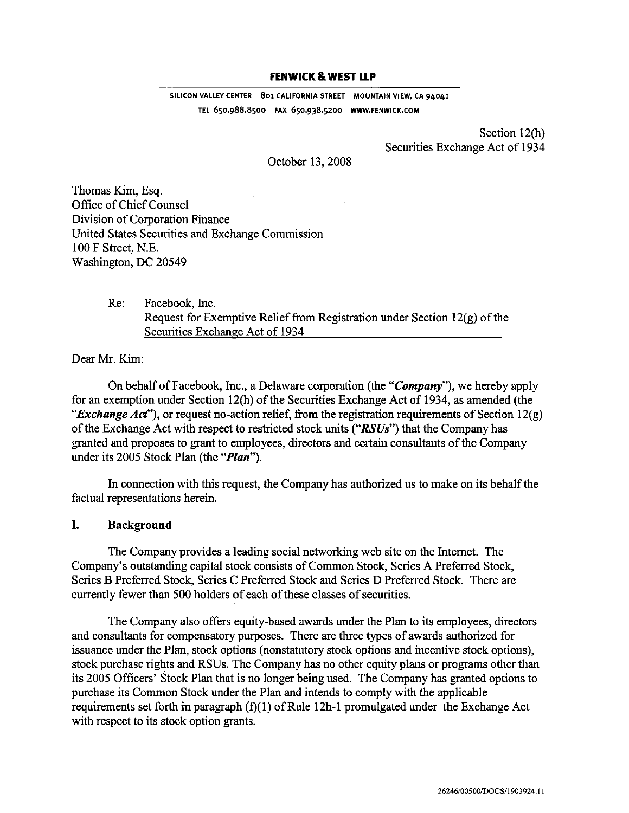## **FENWICK & WEST LLP**

**SILICON VALLEY CENTER 801 CALIFORNIA STREET MOUNTAIN VIEW, CA 94041 TEL 650.988.8500 FAX 650.938.5200 WWW.FENWICK.COM** 

> Section 12(h) Securities Exchange Act of 1934

October 13,2008

Thomas Kim, Esq. Office of Chief Counsel Division of Corporation Finance United States Securities and Exchange Commission 100F Street, N.E. Washington, DC 20549

> Re: Facebook, Inc. Request for Exemptive Relief from Registration under Section **12(g)** of the Securities Exchange Act of 1934

Dear Mr. Kim:

On behalf of Facebook, Inc., a Delaware corporation (the "*Company*"), we hereby apply fox an exemption under Section 12(h) of the Securities Exchange Act of 1934, as amended (the **"Exchange***Act"),* or request no-action relief, fiom the registration requirements of Section 12(g) of the Exchange Act with respect to restricted stock units *("RSUs")* that the Company has granted and proposes to grant to employees, directors and certain consultants of the Company under its 2005 Stock Plan (the *"Plan").* 

In connection with this request, the Company has authorized us to make on its behalf the factual representations herein.

## **I. Background**

The Company provides a leading social networking web site on the Internet. The Company's outstanding capital stock consists of Common Stock, Series **A** Preferred Stock, SeriesB Preferred Stock, Series C Preferred Stock and Series D Preferred Stock. There are currently fewer than 500 holders of each of these classes of securities.

The Company also offers equity-based awards under the Plan to its employees, directors and consultants for compensatory purposes. There are three types of awards authorized for issuance under the Plan, stock options (nonstatutory stock options and incentive stock options), stock purchase rights and RSUs. The Company has no other equity plans or programs other than its 2005 Officers' Stock Plan that is no longer being used. The Company has granted options to purchase its Common Stock under the Plan and intends to comply with the applicable requirements set forth in paragraph (f)(l) of Rule 12h-1 promulgated under the Exchange Act with respect to its stock option grants.